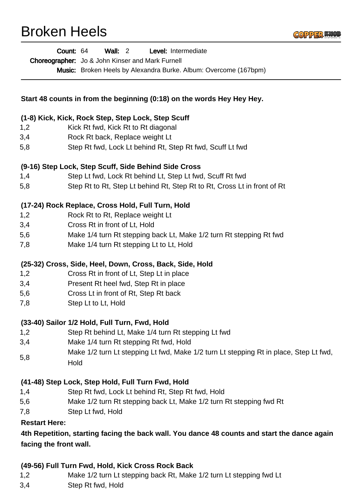# Broken Heels



| <b>Broken Heels</b> |                                                                                       |  |
|---------------------|---------------------------------------------------------------------------------------|--|
|                     | Count: 64<br>Wall:<br>Level: Intermediate<br>$\overline{2}$                           |  |
|                     | <b>Choreographer:</b> Jo & John Kinser and Mark Furnell                               |  |
|                     | Music: Broken Heels by Alexandra Burke. Album: Overcome (167bpm)                      |  |
|                     |                                                                                       |  |
|                     | Start 48 counts in from the beginning (0:18) on the words Hey Hey Hey.                |  |
|                     | (1-8) Kick, Kick, Rock Step, Step Lock, Step Scuff                                    |  |
| 1,2                 | Kick Rt fwd, Kick Rt to Rt diagonal                                                   |  |
| 3,4                 | Rock Rt back, Replace weight Lt                                                       |  |
| 5,8                 | Step Rt fwd, Lock Lt behind Rt, Step Rt fwd, Scuff Lt fwd                             |  |
|                     | (9-16) Step Lock, Step Scuff, Side Behind Side Cross                                  |  |
| 1,4                 | Step Lt fwd, Lock Rt behind Lt, Step Lt fwd, Scuff Rt fwd                             |  |
| 5,8                 | Step Rt to Rt, Step Lt behind Rt, Step Rt to Rt, Cross Lt in front of Rt              |  |
|                     | (17-24) Rock Replace, Cross Hold, Full Turn, Hold                                     |  |
| 1,2                 | Rock Rt to Rt, Replace weight Lt                                                      |  |
| 3,4                 | Cross Rt in front of Lt, Hold                                                         |  |
| 5,6                 | Make 1/4 turn Rt stepping back Lt, Make 1/2 turn Rt stepping Rt fwd                   |  |
| 7,8                 | Make 1/4 turn Rt stepping Lt to Lt, Hold                                              |  |
|                     | (25-32) Cross, Side, Heel, Down, Cross, Back, Side, Hold                              |  |
| 1,2                 | Cross Rt in front of Lt, Step Lt in place                                             |  |
| 3,4                 | Present Rt heel fwd, Step Rt in place                                                 |  |
| 5,6                 | Cross Lt in front of Rt, Step Rt back                                                 |  |
| 7,8                 | Step Lt to Lt, Hold                                                                   |  |
|                     | (33-40) Sailor 1/2 Hold, Full Turn, Fwd, Hold                                         |  |
| 1,2                 | Step Rt behind Lt, Make 1/4 turn Rt stepping Lt fwd                                   |  |
| 3,4                 | Make 1/4 turn Rt stepping Rt fwd, Hold                                                |  |
|                     | Make 1/2 turn Lt stepping Lt fwd, Make 1/2 turn Lt stepping Rt in place, Step Lt fwd, |  |
| 5,8                 | Hold                                                                                  |  |
|                     | (41-48) Step Lock, Step Hold, Full Turn Fwd, Hold                                     |  |
| 1,4                 | Step Rt fwd, Lock Lt behind Rt, Step Rt fwd, Hold                                     |  |
| 5,6                 | Make 1/2 turn Rt stepping back Lt, Make 1/2 turn Rt stepping fwd Rt                   |  |
| 7,8                 | Step Lt fwd, Hold                                                                     |  |

#### **Restart Here:**

**4th Repetition, starting facing the back wall. You dance 48 counts and start the dance again facing the front wall.**

## **(49-56) Full Turn Fwd, Hold, Kick Cross Rock Back**

- 1,2 Make 1/2 turn Lt stepping back Rt, Make 1/2 turn Lt stepping fwd Lt
- 3,4 Step Rt fwd, Hold